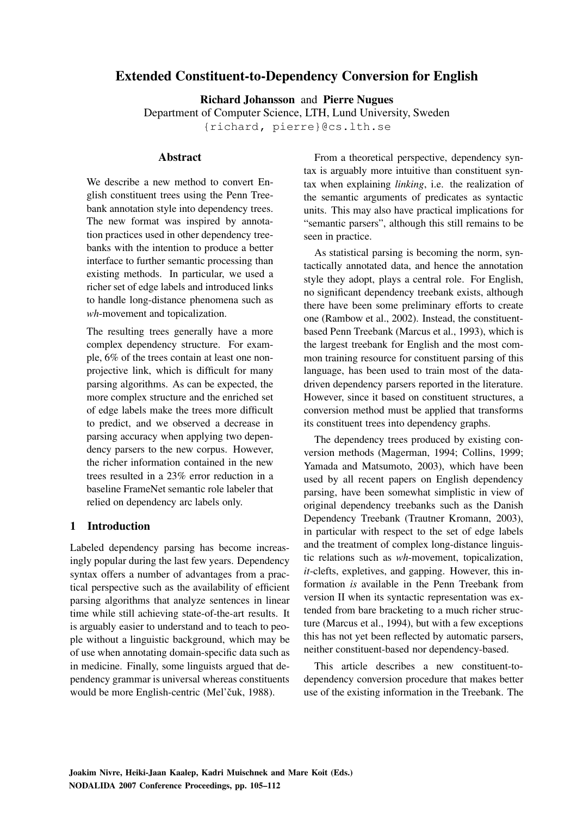# **Extended Constituent-to-Dependency Conversion for English**

**Richard Johansson** and **Pierre Nugues**

Department of Computer Science, LTH, Lund University, Sweden

{richard, pierre}@cs.lth.se

# **Abstract**

We describe a new method to convert English constituent trees using the Penn Treebank annotation style into dependency trees. The new format was inspired by annotation practices used in other dependency treebanks with the intention to produce a better interface to further semantic processing than existing methods. In particular, we used a richer set of edge labels and introduced links to handle long-distance phenomena such as *wh*-movement and topicalization.

The resulting trees generally have a more complex dependency structure. For example, 6% of the trees contain at least one nonprojective link, which is difficult for many parsing algorithms. As can be expected, the more complex structure and the enriched set of edge labels make the trees more difficult to predict, and we observed a decrease in parsing accuracy when applying two dependency parsers to the new corpus. However, the richer information contained in the new trees resulted in a 23% error reduction in a baseline FrameNet semantic role labeler that relied on dependency arc labels only.

# **1 Introduction**

Labeled dependency parsing has become increasingly popular during the last few years. Dependency syntax offers a number of advantages from a practical perspective such as the availability of efficient parsing algorithms that analyze sentences in linear time while still achieving state-of-the-art results. It is arguably easier to understand and to teach to people without a linguistic background, which may be of use when annotating domain-specific data such as in medicine. Finally, some linguists argued that dependency grammar is universal whereas constituents would be more English-centric (Mel'čuk, 1988).

From a theoretical perspective, dependency syntax is arguably more intuitive than constituent syntax when explaining *linking*, i.e. the realization of the semantic arguments of predicates as syntactic units. This may also have practical implications for "semantic parsers", although this still remains to be seen in practice.

As statistical parsing is becoming the norm, syntactically annotated data, and hence the annotation style they adopt, plays a central role. For English, no significant dependency treebank exists, although there have been some preliminary efforts to create one (Rambow et al., 2002). Instead, the constituentbased Penn Treebank (Marcus et al., 1993), which is the largest treebank for English and the most common training resource for constituent parsing of this language, has been used to train most of the datadriven dependency parsers reported in the literature. However, since it based on constituent structures, a conversion method must be applied that transforms its constituent trees into dependency graphs.

The dependency trees produced by existing conversion methods (Magerman, 1994; Collins, 1999; Yamada and Matsumoto, 2003), which have been used by all recent papers on English dependency parsing, have been somewhat simplistic in view of original dependency treebanks such as the Danish Dependency Treebank (Trautner Kromann, 2003), in particular with respect to the set of edge labels and the treatment of complex long-distance linguistic relations such as *wh*-movement, topicalization, *it*-clefts, expletives, and gapping. However, this information *is* available in the Penn Treebank from version II when its syntactic representation was extended from bare bracketing to a much richer structure (Marcus et al., 1994), but with a few exceptions this has not yet been reflected by automatic parsers, neither constituent-based nor dependency-based.

This article describes a new constituent-todependency conversion procedure that makes better use of the existing information in the Treebank. The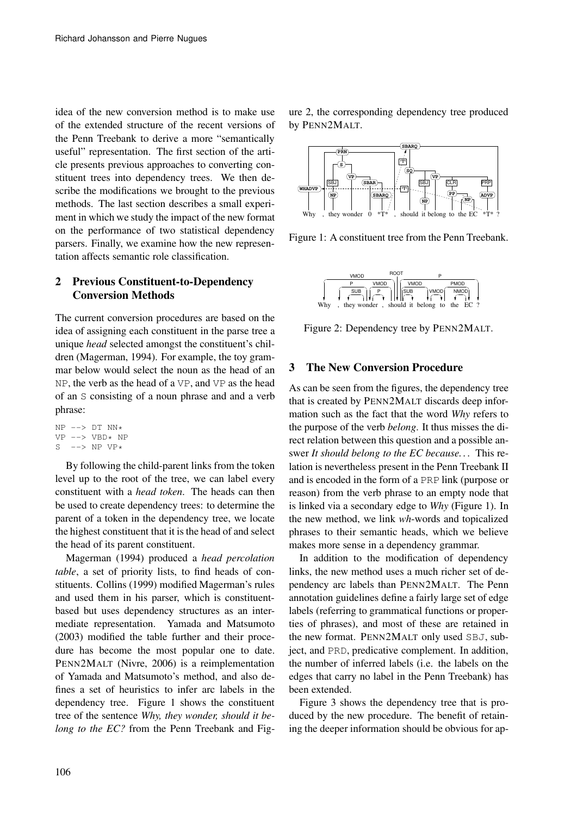idea of the new conversion method is to make use of the extended structure of the recent versions of the Penn Treebank to derive a more "semantically useful" representation. The first section of the article presents previous approaches to converting constituent trees into dependency trees. We then describe the modifications we brought to the previous methods. The last section describes a small experiment in which we study the impact of the new format on the performance of two statistical dependency parsers. Finally, we examine how the new representation affects semantic role classification.

# **2 Previous Constituent-to-Dependency Conversion Methods**

The current conversion procedures are based on the idea of assigning each constituent in the parse tree a unique *head* selected amongst the constituent's children (Magerman, 1994). For example, the toy grammar below would select the noun as the head of an NP, the verb as the head of a VP, and VP as the head of an S consisting of a noun phrase and and a verb phrase:

```
NP \leftarrow > DT NN*VP \leftarrow > VBD* NPS \leftarrow-> NP VP*
```
By following the child-parent links from the token level up to the root of the tree, we can label every constituent with a *head token*. The heads can then be used to create dependency trees: to determine the parent of a token in the dependency tree, we locate the highest constituent that it is the head of and select the head of its parent constituent.

Magerman (1994) produced a *head percolation table*, a set of priority lists, to find heads of constituents. Collins (1999) modified Magerman's rules and used them in his parser, which is constituentbased but uses dependency structures as an intermediate representation. Yamada and Matsumoto (2003) modified the table further and their procedure has become the most popular one to date. PENN2MALT (Nivre, 2006) is a reimplementation of Yamada and Matsumoto's method, and also defines a set of heuristics to infer arc labels in the dependency tree. Figure 1 shows the constituent tree of the sentence *Why, they wonder, should it belong to the EC?* from the Penn Treebank and Figure 2, the corresponding dependency tree produced by PENN2MALT.



Figure 1: A constituent tree from the Penn Treebank.



Figure 2: Dependency tree by PENN2MALT.

# **3 The New Conversion Procedure**

As can be seen from the figures, the dependency tree that is created by PENN2MALT discards deep information such as the fact that the word *Why* refers to the purpose of the verb *belong*. It thus misses the direct relation between this question and a possible answer *It should belong to the EC because. . .* This relation is nevertheless present in the Penn Treebank II and is encoded in the form of a PRP link (purpose or reason) from the verb phrase to an empty node that is linked via a secondary edge to *Why* (Figure 1). In the new method, we link *wh*-words and topicalized phrases to their semantic heads, which we believe makes more sense in a dependency grammar.

In addition to the modification of dependency links, the new method uses a much richer set of dependency arc labels than PENN2MALT. The Penn annotation guidelines define a fairly large set of edge labels (referring to grammatical functions or properties of phrases), and most of these are retained in the new format. PENN2MALT only used SBJ, subject, and PRD, predicative complement. In addition, the number of inferred labels (i.e. the labels on the edges that carry no label in the Penn Treebank) has been extended.

Figure 3 shows the dependency tree that is produced by the new procedure. The benefit of retaining the deeper information should be obvious for ap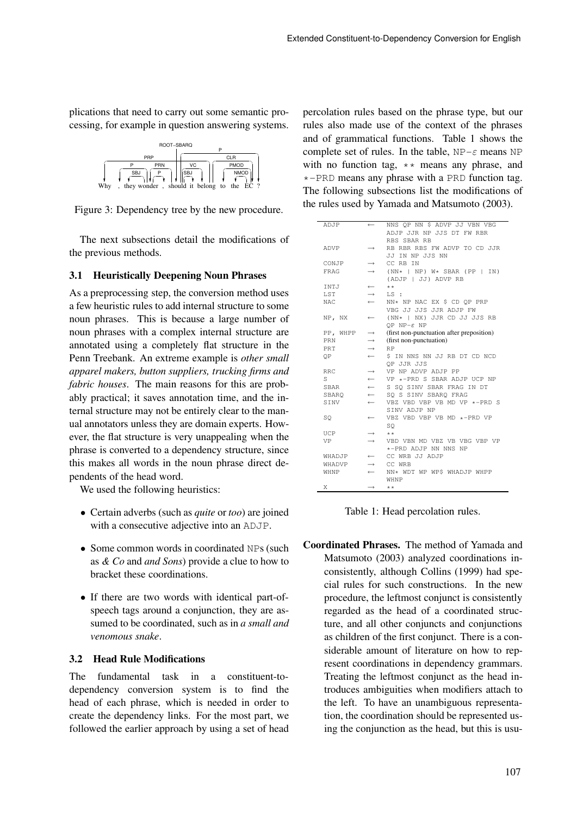plications that need to carry out some semantic processing, for example in question answering systems.



Figure 3: Dependency tree by the new procedure.

The next subsections detail the modifications of the previous methods.

# **3.1 Heuristically Deepening Noun Phrases**

As a preprocessing step, the conversion method uses a few heuristic rules to add internal structure to some noun phrases. This is because a large number of noun phrases with a complex internal structure are annotated using a completely flat structure in the Penn Treebank. An extreme example is *other small apparel makers, button suppliers, trucking firms and fabric houses*. The main reasons for this are probably practical; it saves annotation time, and the internal structure may not be entirely clear to the manual annotators unless they are domain experts. However, the flat structure is very unappealing when the phrase is converted to a dependency structure, since this makes all words in the noun phrase direct dependents of the head word.

We used the following heuristics:

- Certain adverbs (such as *quite* or *too*) are joined with a consecutive adjective into an ADJP.
- Some common words in coordinated NPs (such as *& Co* and *and Sons*) provide a clue to how to bracket these coordinations.
- If there are two words with identical part-ofspeech tags around a conjunction, they are assumed to be coordinated, such as in *a small and venomous snake*.

### **3.2 Head Rule Modifications**

The fundamental task in a constituent-todependency conversion system is to find the head of each phrase, which is needed in order to create the dependency links. For the most part, we followed the earlier approach by using a set of head percolation rules based on the phrase type, but our rules also made use of the context of the phrases and of grammatical functions. Table 1 shows the complete set of rules. In the table,  $NP-\varepsilon$  means NP with no function tag,  $**$  means any phrase, and  $\star$ -PRD means any phrase with a PRD function tag. The following subsections list the modifications of the rules used by Yamada and Matsumoto (2003).

| ADJP        | $\leftarrow$      | NNS OP NN \$ ADVP JJ VBN VBG              |
|-------------|-------------------|-------------------------------------------|
|             |                   | ADJP JJR NP JJS DT FW RBR                 |
|             |                   | RBS SBAR RB                               |
| ADVP        | $\longrightarrow$ | RB RBR RBS FW ADVP TO CD JJR              |
|             |                   | JJ IN NP JJS NN                           |
| CONJP       | $\longrightarrow$ | CC RB IN                                  |
| FRAG        | $\rightarrow$     | $(NN*   NP) W*$ SBAR (PP   IN)            |
|             |                   | (ADJP   JJ) ADVP RB                       |
|             |                   |                                           |
| INTJ        | $\leftarrow$      | $* *$                                     |
| LST         | $\longrightarrow$ | LS:                                       |
| NAC.        | $\leftarrow$      | NN* NP NAC EX \$ CD OP PRP                |
|             |                   | VBG JJ JJS JJR ADJP FW                    |
| NP, NX      | $\leftarrow$      | (NN*   NX) JJR CD JJ JJS RB               |
|             |                   | OP $NP - \varepsilon NP$                  |
| PP, WHPP    | $\longrightarrow$ | (first non-punctuation after preposition) |
| PRN         | $\longrightarrow$ | (first non-punctuation)                   |
| <b>PRT</b>  | $\rightarrow$     | <b>RP</b>                                 |
| ΟP          | $\leftarrow$      | \$ IN NNS NN JJ RB DT CD NCD              |
|             |                   | OP JJR JJS                                |
| <b>RRC</b>  | $\longrightarrow$ | VP NP ADVP ADJP PP                        |
| S           | $\leftarrow$      | VP *-PRD S SBAR ADJP UCP NP               |
| <b>SBAR</b> | $\leftarrow$      | S SO SINV SBAR FRAG IN DT                 |
| SBARO       | $\leftarrow$      | SO S SINV SBARO FRAG                      |
| SINV        | $\leftarrow$      | VBZ VBD VBP VB MD VP $*$ -PRD S           |
|             |                   | SINV ADJP NP                              |
| SO          | $\leftarrow$      | VBZ VBD VBP VB MD *-PRD VP                |
|             |                   | SO                                        |
| UCP         | $\longrightarrow$ | $* *$                                     |
| VP          | $\rightarrow$     | VBD VBN MD VBZ VB VBG VBP VP              |
|             |                   | *-PRD ADJP NN NNS NP                      |
| WHADJP      | $\leftarrow$      | CC WRB JJ ADJP                            |
|             | $\rightarrow$     | CC WRB                                    |
| WHADVP      |                   |                                           |
| WHNP        | $\leftarrow$      | NN* WDT WP WP\$ WHADJP WHPP               |
|             |                   | WHNP                                      |
| Χ           | $\rightarrow$     | $* *$                                     |

Table 1: Head percolation rules.

**Coordinated Phrases.** The method of Yamada and Matsumoto (2003) analyzed coordinations inconsistently, although Collins (1999) had special rules for such constructions. In the new procedure, the leftmost conjunct is consistently regarded as the head of a coordinated structure, and all other conjuncts and conjunctions as children of the first conjunct. There is a considerable amount of literature on how to represent coordinations in dependency grammars. Treating the leftmost conjunct as the head introduces ambiguities when modifiers attach to the left. To have an unambiguous representation, the coordination should be represented using the conjunction as the head, but this is usu-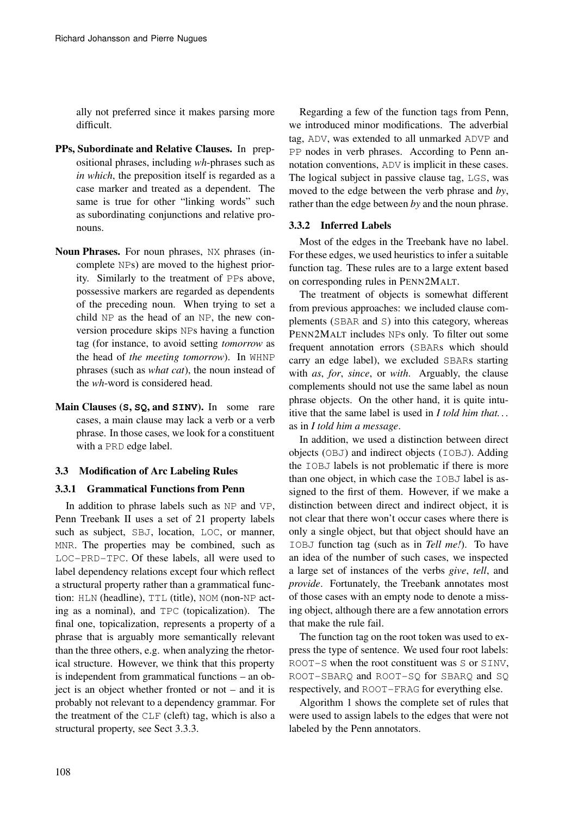ally not preferred since it makes parsing more difficult.

- **PPs, Subordinate and Relative Clauses.** In prepositional phrases, including *wh*-phrases such as *in which*, the preposition itself is regarded as a case marker and treated as a dependent. The same is true for other "linking words" such as subordinating conjunctions and relative pronouns.
- **Noun Phrases.** For noun phrases, NX phrases (incomplete NPs) are moved to the highest priority. Similarly to the treatment of PPs above, possessive markers are regarded as dependents of the preceding noun. When trying to set a child NP as the head of an NP, the new conversion procedure skips NPs having a function tag (for instance, to avoid setting *tomorrow* as the head of *the meeting tomorrow*). In WHNP phrases (such as *what cat*), the noun instead of the *wh*-word is considered head.
- **Main Clauses (S, SQ, and SINV).** In some rare cases, a main clause may lack a verb or a verb phrase. In those cases, we look for a constituent with a PRD edge label.

### **3.3 Modification of Arc Labeling Rules**

### **3.3.1 Grammatical Functions from Penn**

In addition to phrase labels such as NP and VP, Penn Treebank II uses a set of 21 property labels such as subject, SBJ, location, LOC, or manner, MNR. The properties may be combined, such as LOC-PRD-TPC. Of these labels, all were used to label dependency relations except four which reflect a structural property rather than a grammatical function: HLN (headline), TTL (title), NOM (non-NP acting as a nominal), and TPC (topicalization). The final one, topicalization, represents a property of a phrase that is arguably more semantically relevant than the three others, e.g. when analyzing the rhetorical structure. However, we think that this property is independent from grammatical functions – an object is an object whether fronted or not – and it is probably not relevant to a dependency grammar. For the treatment of the CLF (cleft) tag, which is also a structural property, see Sect 3.3.3.

Regarding a few of the function tags from Penn, we introduced minor modifications. The adverbial tag, ADV, was extended to all unmarked ADVP and PP nodes in verb phrases. According to Penn annotation conventions, ADV is implicit in these cases. The logical subject in passive clause tag, LGS, was moved to the edge between the verb phrase and *by*, rather than the edge between *by* and the noun phrase.

# **3.3.2 Inferred Labels**

Most of the edges in the Treebank have no label. For these edges, we used heuristics to infer a suitable function tag. These rules are to a large extent based on corresponding rules in PENN2MALT.

The treatment of objects is somewhat different from previous approaches: we included clause complements (SBAR and S) into this category, whereas PENN2MALT includes NPs only. To filter out some frequent annotation errors (SBARs which should carry an edge label), we excluded SBARs starting with *as*, *for*, *since*, or *with*. Arguably, the clause complements should not use the same label as noun phrase objects. On the other hand, it is quite intuitive that the same label is used in *I told him that. . .* as in *I told him a message*.

In addition, we used a distinction between direct objects (OBJ) and indirect objects (IOBJ). Adding the IOBJ labels is not problematic if there is more than one object, in which case the IOBJ label is assigned to the first of them. However, if we make a distinction between direct and indirect object, it is not clear that there won't occur cases where there is only a single object, but that object should have an IOBJ function tag (such as in *Tell me!*). To have an idea of the number of such cases, we inspected a large set of instances of the verbs *give*, *tell*, and *provide*. Fortunately, the Treebank annotates most of those cases with an empty node to denote a missing object, although there are a few annotation errors that make the rule fail.

The function tag on the root token was used to express the type of sentence. We used four root labels: ROOT-S when the root constituent was S or SINV, ROOT-SBARQ and ROOT-SQ for SBARQ and SQ respectively, and ROOT-FRAG for everything else.

Algorithm 1 shows the complete set of rules that were used to assign labels to the edges that were not labeled by the Penn annotators.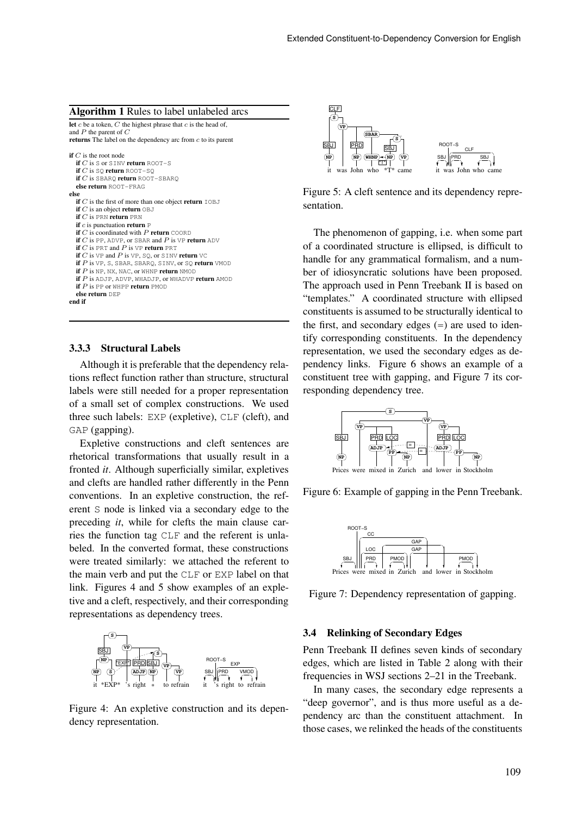#### **Algorithm 1** Rules to label unlabeled arcs

**let** c be a token, C the highest phrase that c is the head of, and P the parent of C **returns** The label on the dependency arc from c to its parent **if** C is the root node **if** C is S or SINV **return** ROOT-S **if** C is SQ **return** ROOT-SQ **if** C is SBARQ **return** ROOT-SBARQ **else return** ROOT-FRAG **else if**  $C$  is the first of more than one object **return**  $IORJ$ **if** C is an object **return** OBJ **if** C is PRN **return** PRN **if** c is punctuation **return** P  $\mathbf{if} \ C$  is coordinated with  $P$   $\mathbf{return}$   $\mathsf{COORD}$ **if** C is PP, ADVP, or SBAR and P is VP **return** ADV **if** C is PRT and P is VP **return** PRT **if** C is VP and P is VP, SQ, or SINV **return** VC **if** P is VP, S, SBAR, SBARQ, SINV, or SQ **return** VMOD **if** P is NP, NX, NAC, or WHNP **return** NMOD **if** P is ADJP, ADVP, WHADJP, or WHADVP **return** AMOD **if** P is PP or WHPP **return** PMOD **else return** DEP **end if**

#### **3.3.3 Structural Labels**

Although it is preferable that the dependency relations reflect function rather than structure, structural labels were still needed for a proper representation of a small set of complex constructions. We used three such labels: EXP (expletive), CLF (cleft), and GAP (gapping).

Expletive constructions and cleft sentences are rhetorical transformations that usually result in a fronted *it*. Although superficially similar, expletives and clefts are handled rather differently in the Penn conventions. In an expletive construction, the referent S node is linked via a secondary edge to the preceding *it*, while for clefts the main clause carries the function tag CLF and the referent is unlabeled. In the converted format, these constructions were treated similarly: we attached the referent to the main verb and put the CLF or EXP label on that link. Figures 4 and 5 show examples of an expletive and a cleft, respectively, and their corresponding representations as dependency trees.



Figure 4: An expletive construction and its dependency representation.



Figure 5: A cleft sentence and its dependency representation.

The phenomenon of gapping, i.e. when some part of a coordinated structure is ellipsed, is difficult to handle for any grammatical formalism, and a number of idiosyncratic solutions have been proposed. The approach used in Penn Treebank II is based on "templates." A coordinated structure with ellipsed constituents is assumed to be structurally identical to the first, and secondary edges  $(=)$  are used to identify corresponding constituents. In the dependency representation, we used the secondary edges as dependency links. Figure 6 shows an example of a constituent tree with gapping, and Figure 7 its corresponding dependency tree.



Figure 6: Example of gapping in the Penn Treebank.



Figure 7: Dependency representation of gapping.

#### **3.4 Relinking of Secondary Edges**

Penn Treebank II defines seven kinds of secondary edges, which are listed in Table 2 along with their frequencies in WSJ sections 2–21 in the Treebank.

In many cases, the secondary edge represents a "deep governor", and is thus more useful as a dependency arc than the constituent attachment. In those cases, we relinked the heads of the constituents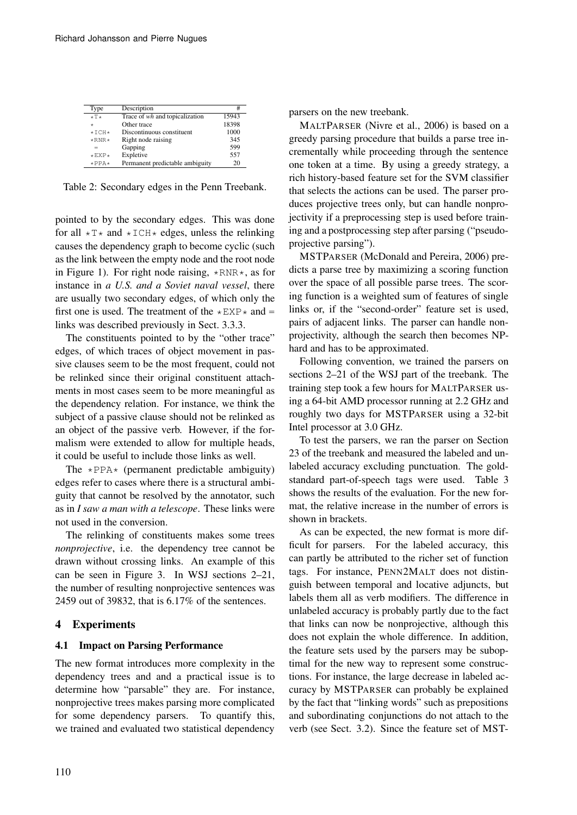| Type                | Description                     | #     |
|---------------------|---------------------------------|-------|
| $*T*$               | Trace of wh and topicalization  | 15943 |
| $\star$             | Other trace                     | 18398 |
| $\star$ TCH $\star$ | Discontinuous constituent       | 1000  |
| $*RNR*$             | Right node raising              | 345   |
| $=$                 | Gapping                         | 599   |
| $*$ EXP $*$         | Expletive                       | 557   |
| $\star$ PPA $\star$ | Permanent predictable ambiguity | 20    |

Table 2: Secondary edges in the Penn Treebank.

pointed to by the secondary edges. This was done for all  $\star$  T  $\star$  and  $\star$  ICH $\star$  edges, unless the relinking causes the dependency graph to become cyclic (such as the link between the empty node and the root node in Figure 1). For right node raising,  $*RNR*$ , as for instance in *a U.S. and a Soviet naval vessel*, there are usually two secondary edges, of which only the first one is used. The treatment of the  $*$ EXP $*$  and = links was described previously in Sect. 3.3.3.

The constituents pointed to by the "other trace" edges, of which traces of object movement in passive clauses seem to be the most frequent, could not be relinked since their original constituent attachments in most cases seem to be more meaningful as the dependency relation. For instance, we think the subject of a passive clause should not be relinked as an object of the passive verb. However, if the formalism were extended to allow for multiple heads, it could be useful to include those links as well.

The  $\star$ PPA $\star$  (permanent predictable ambiguity) edges refer to cases where there is a structural ambiguity that cannot be resolved by the annotator, such as in *I saw a man with a telescope*. These links were not used in the conversion.

The relinking of constituents makes some trees *nonprojective*, i.e. the dependency tree cannot be drawn without crossing links. An example of this can be seen in Figure 3. In WSJ sections 2–21, the number of resulting nonprojective sentences was 2459 out of 39832, that is 6.17% of the sentences.

# **4 Experiments**

### **4.1 Impact on Parsing Performance**

The new format introduces more complexity in the dependency trees and and a practical issue is to determine how "parsable" they are. For instance, nonprojective trees makes parsing more complicated for some dependency parsers. To quantify this, we trained and evaluated two statistical dependency parsers on the new treebank.

MALTPARSER (Nivre et al., 2006) is based on a greedy parsing procedure that builds a parse tree incrementally while proceeding through the sentence one token at a time. By using a greedy strategy, a rich history-based feature set for the SVM classifier that selects the actions can be used. The parser produces projective trees only, but can handle nonprojectivity if a preprocessing step is used before training and a postprocessing step after parsing ("pseudoprojective parsing").

MSTPARSER (McDonald and Pereira, 2006) predicts a parse tree by maximizing a scoring function over the space of all possible parse trees. The scoring function is a weighted sum of features of single links or, if the "second-order" feature set is used, pairs of adjacent links. The parser can handle nonprojectivity, although the search then becomes NPhard and has to be approximated.

Following convention, we trained the parsers on sections 2–21 of the WSJ part of the treebank. The training step took a few hours for MALTPARSER using a 64-bit AMD processor running at 2.2 GHz and roughly two days for MSTPARSER using a 32-bit Intel processor at 3.0 GHz.

To test the parsers, we ran the parser on Section 23 of the treebank and measured the labeled and unlabeled accuracy excluding punctuation. The goldstandard part-of-speech tags were used. Table 3 shows the results of the evaluation. For the new format, the relative increase in the number of errors is shown in brackets.

As can be expected, the new format is more difficult for parsers. For the labeled accuracy, this can partly be attributed to the richer set of function tags. For instance, PENN2MALT does not distinguish between temporal and locative adjuncts, but labels them all as verb modifiers. The difference in unlabeled accuracy is probably partly due to the fact that links can now be nonprojective, although this does not explain the whole difference. In addition, the feature sets used by the parsers may be suboptimal for the new way to represent some constructions. For instance, the large decrease in labeled accuracy by MSTPARSER can probably be explained by the fact that "linking words" such as prepositions and subordinating conjunctions do not attach to the verb (see Sect. 3.2). Since the feature set of MST-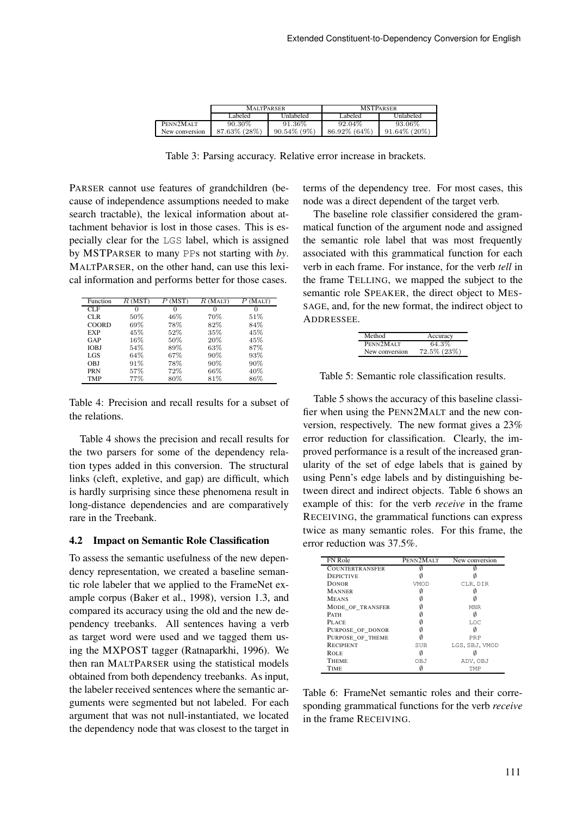|                | <b>MALTPARSER</b> |                | <b>MSTPARSER</b> |                 |  |
|----------------|-------------------|----------------|------------------|-----------------|--|
|                | Labeled           | Unlabeled      | Labeled          | Unlabeled       |  |
| PENN2MALT      | 90.30\%           | 91.36%         | 92.04\%          | 93.06%          |  |
| New conversion | 87.63% (28%)      | $90.54\%$ (9%) | $86.92\%$ (64\%) | $91.64\%$ (20%) |  |

Table 3: Parsing accuracy. Relative error increase in brackets.

PARSER cannot use features of grandchildren (because of independence assumptions needed to make search tractable), the lexical information about attachment behavior is lost in those cases. This is especially clear for the LGS label, which is assigned by MSTPARSER to many PPs not starting with *by*. MALTPARSER, on the other hand, can use this lexical information and performs better for those cases.

| Function     | R(MST) | P(MST) | $R$ (MALT) | (MALT)<br>Р |
|--------------|--------|--------|------------|-------------|
| CLF          | 0      | 0      | $\Omega$   | $\Omega$    |
| CLR.         | 50%    | 46%    | 70%        | 51%         |
| <b>COORD</b> | 69%    | 78%    | 82%        | 84%         |
| <b>EXP</b>   | 45%    | 52%    | 35%        | 45%         |
| GAP          | 16%    | 50%    | 20%        | 45%         |
| IOBJ         | 54%    | 89%    | 63%        | 87%         |
| LGS          | 64%    | 67%    | 90%        | 93%         |
| OBJ          | 91%    | 78%    | 90%        | 90%         |
| <b>PRN</b>   | 57%    | 72%    | 66%        | 40%         |
| <b>TMP</b>   | 77%    | 80%    | 81%        | 86%         |

Table 4: Precision and recall results for a subset of the relations.

Table 4 shows the precision and recall results for the two parsers for some of the dependency relation types added in this conversion. The structural links (cleft, expletive, and gap) are difficult, which is hardly surprising since these phenomena result in long-distance dependencies and are comparatively rare in the Treebank.

### **4.2 Impact on Semantic Role Classification**

To assess the semantic usefulness of the new dependency representation, we created a baseline semantic role labeler that we applied to the FrameNet example corpus (Baker et al., 1998), version 1.3, and compared its accuracy using the old and the new dependency treebanks. All sentences having a verb as target word were used and we tagged them using the MXPOST tagger (Ratnaparkhi, 1996). We then ran MALTPARSER using the statistical models obtained from both dependency treebanks. As input, the labeler received sentences where the semantic arguments were segmented but not labeled. For each argument that was not null-instantiated, we located the dependency node that was closest to the target in

terms of the dependency tree. For most cases, this node was a direct dependent of the target verb.

The baseline role classifier considered the grammatical function of the argument node and assigned the semantic role label that was most frequently associated with this grammatical function for each verb in each frame. For instance, for the verb *tell* in the frame TELLING, we mapped the subject to the semantic role SPEAKER, the direct object to MES-SAGE, and, for the new format, the indirect object to ADDRESSEE.

| Method         | Accuracy          |
|----------------|-------------------|
| PENN2MALT      | 64.3%             |
| New conversion | $72.5\%$ $(23\%)$ |

Table 5: Semantic role classification results.

Table 5 shows the accuracy of this baseline classifier when using the PENN2MALT and the new conversion, respectively. The new format gives a 23% error reduction for classification. Clearly, the improved performance is a result of the increased granularity of the set of edge labels that is gained by using Penn's edge labels and by distinguishing between direct and indirect objects. Table 6 shows an example of this: for the verb *receive* in the frame RECEIVING, the grammatical functions can express twice as many semantic roles. For this frame, the error reduction was 37.5%.

| FN Role                | PENN2MALT  | New conversion |
|------------------------|------------|----------------|
| <b>COUNTERTRANSFER</b> |            |                |
| <b>DEPICTIVE</b>       |            |                |
| <b>DONOR</b>           | VMOD       | CLR.DIR        |
| <b>MANNER</b>          |            |                |
| <b>MEANS</b>           |            |                |
| MODE OF TRANSFER       |            | <b>MNR</b>     |
| <b>PATH</b>            |            |                |
| PLACE                  |            | T.OC           |
| PURPOSE OF DONOR       |            |                |
| PURPOSE OF THEME       |            | PRP            |
| <b>RECIPIENT</b>       | <b>SUB</b> | LGS, SBJ, VMOD |
| <b>ROLE</b>            |            |                |
| <b>THEME</b>           | OBJ        | ADV, OBJ       |
| TIME                   |            | TMP            |

Table 6: FrameNet semantic roles and their corresponding grammatical functions for the verb *receive* in the frame RECEIVING.